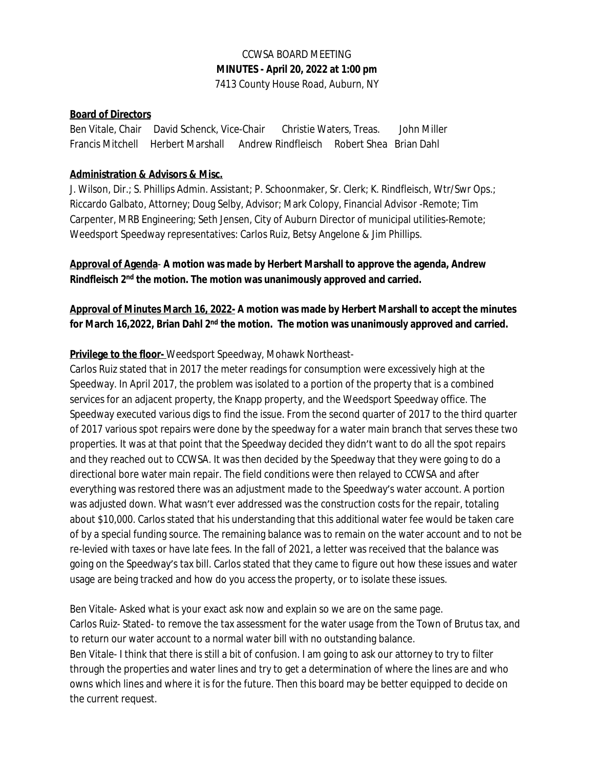## CCWSA BOARD MEETING **MINUTES - April 20, 2022 at 1:00 pm** 7413 County House Road, Auburn, NY

### **Board of Directors**

Ben Vitale, Chair David Schenck, Vice-Chair Christie Waters, Treas. John Miller Francis Mitchell Herbert Marshall Andrew Rindfleisch Robert Shea Brian Dahl

#### **Administration & Advisors & Misc.**

J. Wilson, Dir.; S. Phillips Admin. Assistant; P. Schoonmaker, Sr. Clerk; K. Rindfleisch, Wtr/Swr Ops.; Riccardo Galbato, Attorney; Doug Selby, Advisor; Mark Colopy, Financial Advisor -Remote; Tim Carpenter, MRB Engineering; Seth Jensen, City of Auburn Director of municipal utilities-Remote; Weedsport Speedway representatives: Carlos Ruiz, Betsy Angelone & Jim Phillips.

## **Approval of Agenda**- **A motion was made by Herbert Marshall to approve the agenda, Andrew Rindfleisch 2nd the motion. The motion was unanimously approved and carried.**

### **Approval of Minutes March 16, 2022- A motion was made by Herbert Marshall to accept the minutes for March 16,2022, Brian Dahl 2nd the motion. The motion was unanimously approved and carried.**

#### **Privilege to the floor-** Weedsport Speedway, Mohawk Northeast-

Carlos Ruiz stated that in 2017 the meter readings for consumption were excessively high at the Speedway. In April 2017, the problem was isolated to a portion of the property that is a combined services for an adjacent property, the Knapp property, and the Weedsport Speedway office. The Speedway executed various digs to find the issue. From the second quarter of 2017 to the third quarter of 2017 various spot repairs were done by the speedway for a water main branch that serves these two properties. It was at that point that the Speedway decided they didn't want to do all the spot repairs and they reached out to CCWSA. It was then decided by the Speedway that they were going to do a directional bore water main repair. The field conditions were then relayed to CCWSA and after everything was restored there was an adjustment made to the Speedway's water account. A portion was adjusted down. What wasn't ever addressed was the construction costs for the repair, totaling about \$10,000. Carlos stated that his understanding that this additional water fee would be taken care of by a special funding source. The remaining balance was to remain on the water account and to not be re-levied with taxes or have late fees. In the fall of 2021, a letter was received that the balance was going on the Speedway's tax bill. Carlos stated that they came to figure out how these issues and water usage are being tracked and how do you access the property, or to isolate these issues.

Ben Vitale- Asked what is your exact ask now and explain so we are on the same page. Carlos Ruiz- Stated- to remove the tax assessment for the water usage from the Town of Brutus tax, and to return our water account to a normal water bill with no outstanding balance. Ben Vitale- I think that there is still a bit of confusion. I am going to ask our attorney to try to filter through the properties and water lines and try to get a determination of where the lines are and who owns which lines and where it is for the future. Then this board may be better equipped to decide on the current request.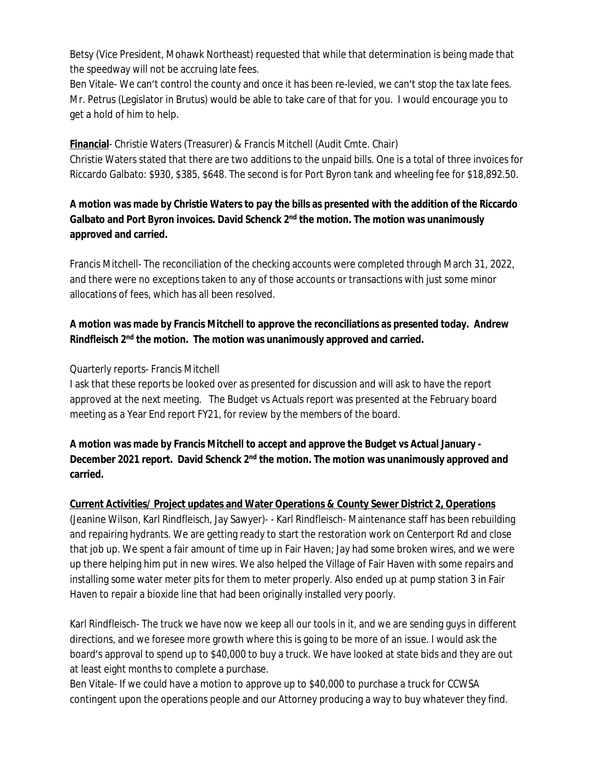Betsy (Vice President, Mohawk Northeast) requested that while that determination is being made that the speedway will not be accruing late fees.

Ben Vitale- We can't control the county and once it has been re-levied, we can't stop the tax late fees. Mr. Petrus (Legislator in Brutus) would be able to take care of that for you. I would encourage you to get a hold of him to help.

**Financial**- Christie Waters (Treasurer) & Francis Mitchell (Audit Cmte. Chair) Christie Waters stated that there are two additions to the unpaid bills. One is a total of three invoices for Riccardo Galbato: \$930, \$385, \$648. The second is for Port Byron tank and wheeling fee for \$18,892.50.

## **A motion was made by Christie Waters to pay the bills as presented with the addition of the Riccardo Galbato and Port Byron invoices. David Schenck 2nd the motion. The motion was unanimously approved and carried.**

Francis Mitchell- The reconciliation of the checking accounts were completed through March 31, 2022, and there were no exceptions taken to any of those accounts or transactions with just some minor allocations of fees, which has all been resolved.

# **A motion was made by Francis Mitchell to approve the reconciliations as presented today. Andrew Rindfleisch 2nd the motion. The motion was unanimously approved and carried.**

#### Quarterly reports- Francis Mitchell

I ask that these reports be looked over as presented for discussion and will ask to have the report approved at the next meeting. The Budget vs Actuals report was presented at the February board meeting as a Year End report FY21, for review by the members of the board.

## **A motion was made by Francis Mitchell to accept and approve the Budget vs Actual January - December 2021 report. David Schenck 2nd the motion. The motion was unanimously approved and carried.**

#### **Current Activities/ Project updates and Water Operations & County Sewer District 2, Operations**

(Jeanine Wilson, Karl Rindfleisch, Jay Sawyer)- - Karl Rindfleisch- Maintenance staff has been rebuilding and repairing hydrants. We are getting ready to start the restoration work on Centerport Rd and close that job up. We spent a fair amount of time up in Fair Haven; Jay had some broken wires, and we were up there helping him put in new wires. We also helped the Village of Fair Haven with some repairs and installing some water meter pits for them to meter properly. Also ended up at pump station 3 in Fair Haven to repair a bioxide line that had been originally installed very poorly.

Karl Rindfleisch- The truck we have now we keep all our tools in it, and we are sending guys in different directions, and we foresee more growth where this is going to be more of an issue. I would ask the board's approval to spend up to \$40,000 to buy a truck. We have looked at state bids and they are out at least eight months to complete a purchase.

Ben Vitale- If we could have a motion to approve up to \$40,000 to purchase a truck for CCWSA contingent upon the operations people and our Attorney producing a way to buy whatever they find.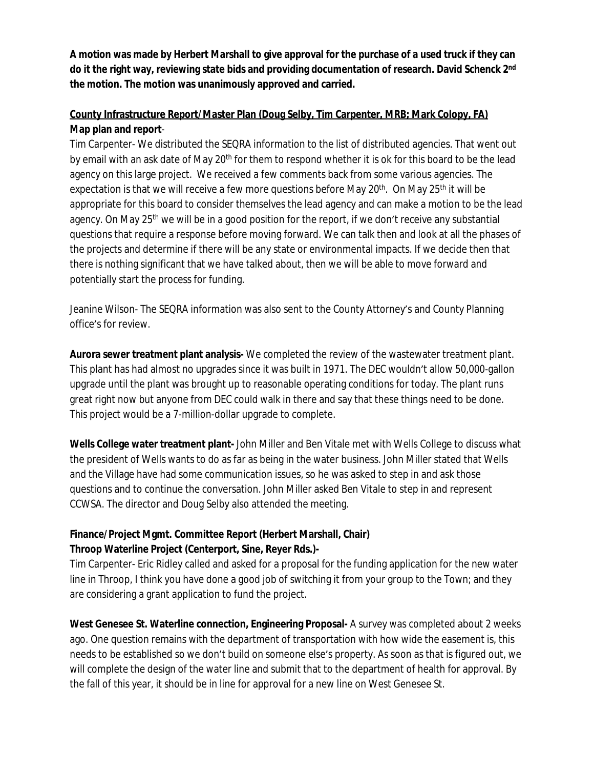**A motion was made by Herbert Marshall to give approval for the purchase of a used truck if they can do it the right way, reviewing state bids and providing documentation of research. David Schenck 2nd the motion. The motion was unanimously approved and carried.** 

# **County Infrastructure Report/Master Plan (Doug Selby, Tim Carpenter, MRB; Mark Colopy, FA) Map plan and report**-

Tim Carpenter- We distributed the SEQRA information to the list of distributed agencies. That went out by email with an ask date of May 20<sup>th</sup> for them to respond whether it is ok for this board to be the lead agency on this large project. We received a few comments back from some various agencies. The expectation is that we will receive a few more questions before May 20<sup>th</sup>. On May 25<sup>th</sup> it will be appropriate for this board to consider themselves the lead agency and can make a motion to be the lead agency. On May 25<sup>th</sup> we will be in a good position for the report, if we don't receive any substantial questions that require a response before moving forward. We can talk then and look at all the phases of the projects and determine if there will be any state or environmental impacts. If we decide then that there is nothing significant that we have talked about, then we will be able to move forward and potentially start the process for funding.

Jeanine Wilson- The SEQRA information was also sent to the County Attorney's and County Planning office's for review.

**Aurora sewer treatment plant analysis-** We completed the review of the wastewater treatment plant. This plant has had almost no upgrades since it was built in 1971. The DEC wouldn't allow 50,000-gallon upgrade until the plant was brought up to reasonable operating conditions for today. The plant runs great right now but anyone from DEC could walk in there and say that these things need to be done. This project would be a 7-million-dollar upgrade to complete.

**Wells College water treatment plant-** John Miller and Ben Vitale met with Wells College to discuss what the president of Wells wants to do as far as being in the water business. John Miller stated that Wells and the Village have had some communication issues, so he was asked to step in and ask those questions and to continue the conversation. John Miller asked Ben Vitale to step in and represent CCWSA. The director and Doug Selby also attended the meeting.

## **Finance/Project Mgmt. Committee Report (Herbert Marshall, Chair) Throop Waterline Project (Centerport, Sine, Reyer Rds.)-**

Tim Carpenter- Eric Ridley called and asked for a proposal for the funding application for the new water line in Throop, I think you have done a good job of switching it from your group to the Town; and they are considering a grant application to fund the project.

West Genesee St. Waterline connection, Engineering Proposal- A survey was completed about 2 weeks ago. One question remains with the department of transportation with how wide the easement is, this needs to be established so we don't build on someone else's property. As soon as that is figured out, we will complete the design of the water line and submit that to the department of health for approval. By the fall of this year, it should be in line for approval for a new line on West Genesee St.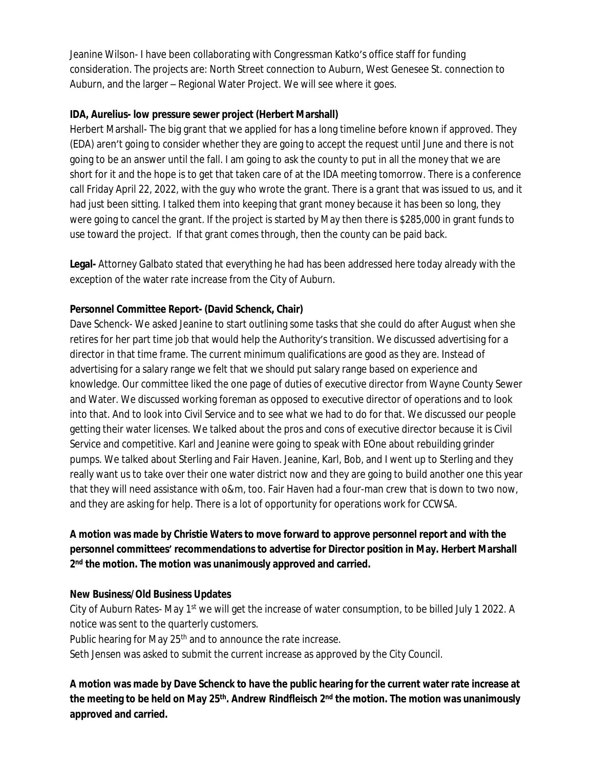Jeanine Wilson- I have been collaborating with Congressman Katko's office staff for funding consideration. The projects are: North Street connection to Auburn, West Genesee St. connection to Auburn, and the larger – Regional Water Project. We will see where it goes.

### **IDA, Aurelius- low pressure sewer project (Herbert Marshall)**

Herbert Marshall- The big grant that we applied for has a long timeline before known if approved. They (EDA) aren't going to consider whether they are going to accept the request until June and there is not going to be an answer until the fall. I am going to ask the county to put in all the money that we are short for it and the hope is to get that taken care of at the IDA meeting tomorrow. There is a conference call Friday April 22, 2022, with the guy who wrote the grant. There is a grant that was issued to us, and it had just been sitting. I talked them into keeping that grant money because it has been so long, they were going to cancel the grant. If the project is started by May then there is \$285,000 in grant funds to use toward the project. If that grant comes through, then the county can be paid back.

**Legal-** Attorney Galbato stated that everything he had has been addressed here today already with the exception of the water rate increase from the City of Auburn.

## **Personnel Committee Report- (David Schenck, Chair)**

Dave Schenck- We asked Jeanine to start outlining some tasks that she could do after August when she retires for her part time job that would help the Authority's transition. We discussed advertising for a director in that time frame. The current minimum qualifications are good as they are. Instead of advertising for a salary range we felt that we should put salary range based on experience and knowledge. Our committee liked the one page of duties of executive director from Wayne County Sewer and Water. We discussed working foreman as opposed to executive director of operations and to look into that. And to look into Civil Service and to see what we had to do for that. We discussed our people getting their water licenses. We talked about the pros and cons of executive director because it is Civil Service and competitive. Karl and Jeanine were going to speak with EOne about rebuilding grinder pumps. We talked about Sterling and Fair Haven. Jeanine, Karl, Bob, and I went up to Sterling and they really want us to take over their one water district now and they are going to build another one this year that they will need assistance with o&m, too. Fair Haven had a four-man crew that is down to two now, and they are asking for help. There is a lot of opportunity for operations work for CCWSA.

# **A motion was made by Christie Waters to move forward to approve personnel report and with the personnel committees' recommendations to advertise for Director position in May. Herbert Marshall 2 nd the motion. The motion was unanimously approved and carried.**

#### **New Business/Old Business Updates**

City of Auburn Rates- May 1<sup>st</sup> we will get the increase of water consumption, to be billed July 1 2022. A notice was sent to the quarterly customers.

Public hearing for May 25<sup>th</sup> and to announce the rate increase.

Seth Jensen was asked to submit the current increase as approved by the City Council.

**A motion was made by Dave Schenck to have the public hearing for the current water rate increase at the meeting to be held on May 25th. Andrew Rindfleisch 2nd the motion. The motion was unanimously approved and carried.**